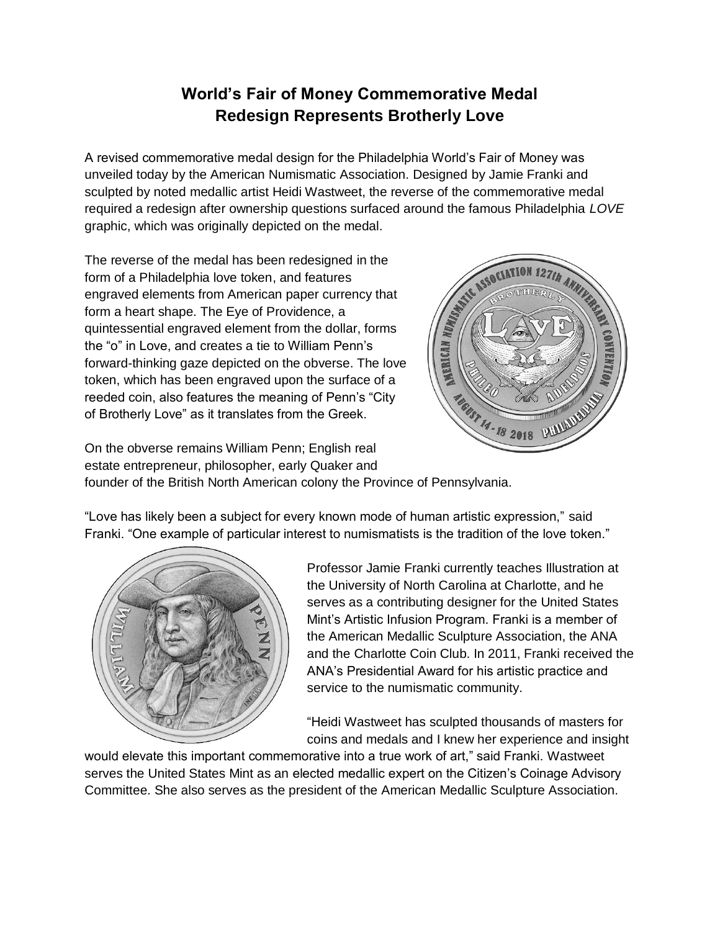## **World's Fair of Money Commemorative Medal Redesign Represents Brotherly Love**

A revised commemorative medal design for the Philadelphia World's Fair of Money was unveiled today by the American Numismatic Association. Designed by Jamie Franki and sculpted by noted medallic artist Heidi Wastweet, the reverse of the commemorative medal required a redesign after ownership questions surfaced around the famous Philadelphia *LOVE* graphic, which was originally depicted on the medal.

The reverse of the medal has been redesigned in the form of a Philadelphia love token, and features engraved elements from American paper currency that form a heart shape. The Eye of Providence, a quintessential engraved element from the dollar, forms the "o" in Love, and creates a tie to William Penn's forward-thinking gaze depicted on the obverse. The love token, which has been engraved upon the surface of a reeded coin, also features the meaning of Penn's "City of Brotherly Love" as it translates from the Greek.



On the obverse remains William Penn; English real estate entrepreneur, philosopher, early Quaker and founder of the British North American colony the Province of Pennsylvania.

"Love has likely been a subject for every known mode of human artistic expression," said Franki. "One example of particular interest to numismatists is the tradition of the love token."



Professor Jamie Franki currently teaches Illustration at the University of North Carolina at Charlotte, and he serves as a contributing designer for the United States Mint's Artistic Infusion Program. Franki is a member of the American Medallic Sculpture Association, the ANA and the Charlotte Coin Club. In 2011, Franki received the ANA's Presidential Award for his artistic practice and service to the numismatic community.

"Heidi Wastweet has sculpted thousands of masters for coins and medals and I knew her experience and insight

would elevate this important commemorative into a true work of art," said Franki. Wastweet serves the United States Mint as an elected medallic expert on the Citizen's Coinage Advisory Committee. She also serves as the president of the American Medallic Sculpture Association.